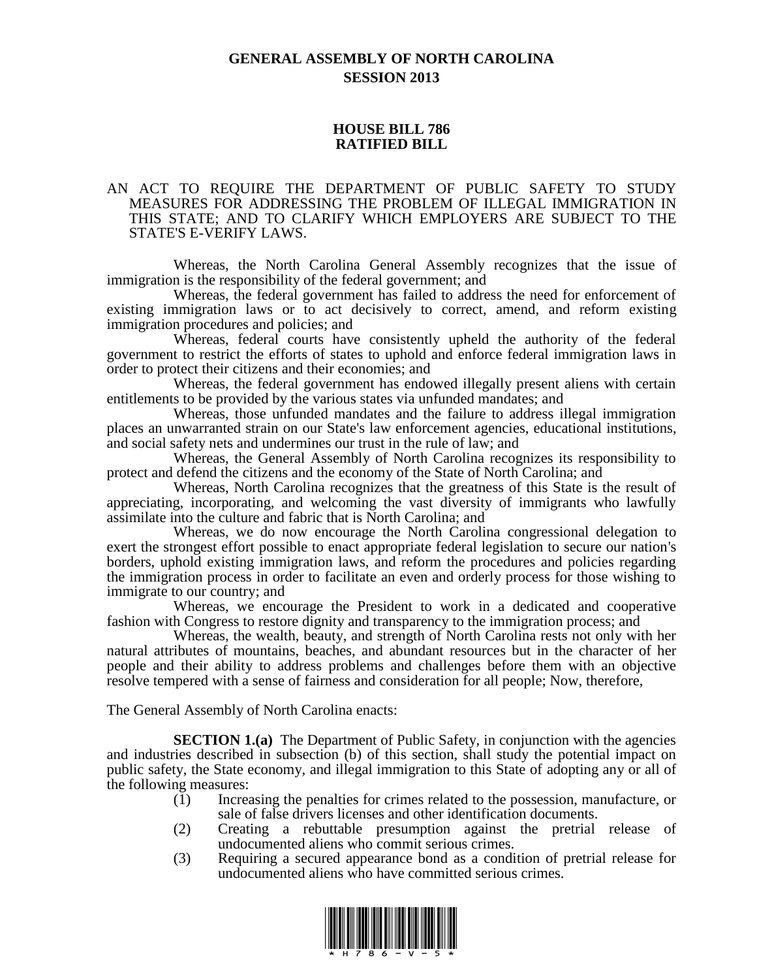# **GENERAL ASSEMBLY OF NORTH CAROLINA SESSION 2013**

#### **HOUSE BILL 786 RATIFIED BILL**

#### AN ACT TO REQUIRE THE DEPARTMENT OF PUBLIC SAFETY TO STUDY MEASURES FOR ADDRESSING THE PROBLEM OF ILLEGAL IMMIGRATION IN THIS STATE; AND TO CLARIFY WHICH EMPLOYERS ARE SUBJECT TO THE STATE'S E-VERIFY LAWS.

Whereas, the North Carolina General Assembly recognizes that the issue of immigration is the responsibility of the federal government; and

Whereas, the federal government has failed to address the need for enforcement of existing immigration laws or to act decisively to correct, amend, and reform existing immigration procedures and policies; and

Whereas, federal courts have consistently upheld the authority of the federal government to restrict the efforts of states to uphold and enforce federal immigration laws in order to protect their citizens and their economies; and

Whereas, the federal government has endowed illegally present aliens with certain entitlements to be provided by the various states via unfunded mandates; and

Whereas, those unfunded mandates and the failure to address illegal immigration places an unwarranted strain on our State's law enforcement agencies, educational institutions, and social safety nets and undermines our trust in the rule of law; and

Whereas, the General Assembly of North Carolina recognizes its responsibility to protect and defend the citizens and the economy of the State of North Carolina; and

Whereas, North Carolina recognizes that the greatness of this State is the result of appreciating, incorporating, and welcoming the vast diversity of immigrants who lawfully assimilate into the culture and fabric that is North Carolina; and

Whereas, we do now encourage the North Carolina congressional delegation to exert the strongest effort possible to enact appropriate federal legislation to secure our nation's borders, uphold existing immigration laws, and reform the procedures and policies regarding the immigration process in order to facilitate an even and orderly process for those wishing to immigrate to our country; and

Whereas, we encourage the President to work in a dedicated and cooperative fashion with Congress to restore dignity and transparency to the immigration process; and

Whereas, the wealth, beauty, and strength of North Carolina rests not only with her natural attributes of mountains, beaches, and abundant resources but in the character of her people and their ability to address problems and challenges before them with an objective resolve tempered with a sense of fairness and consideration for all people; Now, therefore,

The General Assembly of North Carolina enacts:

**SECTION 1.(a)** The Department of Public Safety, in conjunction with the agencies and industries described in subsection (b) of this section, shall study the potential impact on public safety, the State economy, and illegal immigration to this State of adopting any or all of the following measures:

- (1) Increasing the penalties for crimes related to the possession, manufacture, or sale of false drivers licenses and other identification documents.
- (2) Creating a rebuttable presumption against the pretrial release of undocumented aliens who commit serious crimes.
- (3) Requiring a secured appearance bond as a condition of pretrial release for undocumented aliens who have committed serious crimes.

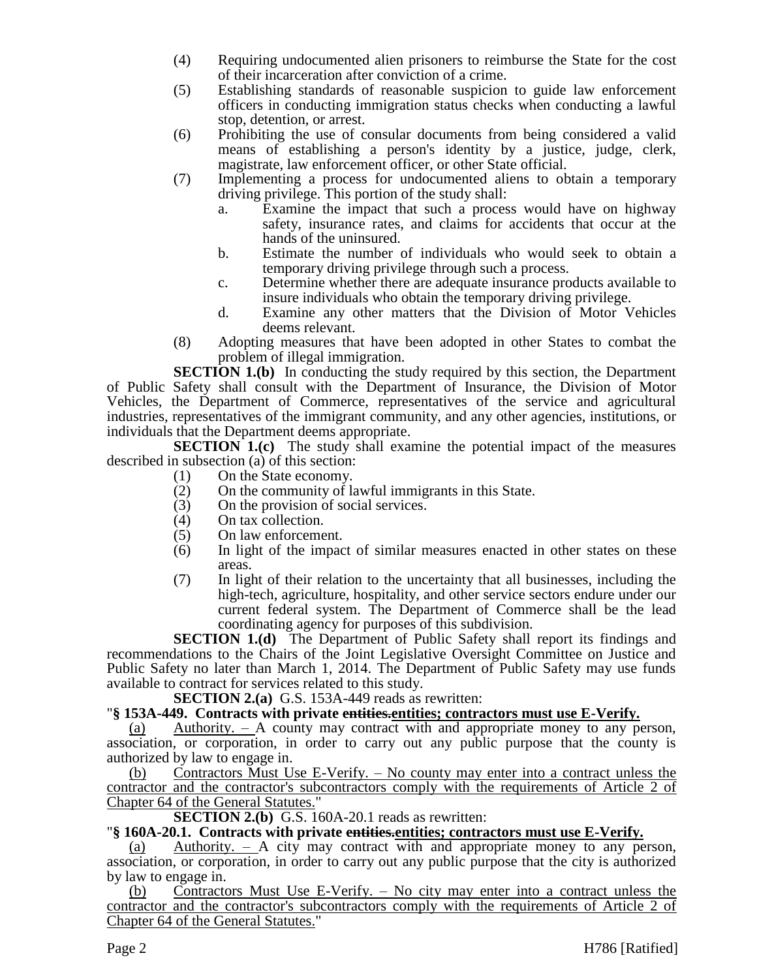- (4) Requiring undocumented alien prisoners to reimburse the State for the cost of their incarceration after conviction of a crime.
- (5) Establishing standards of reasonable suspicion to guide law enforcement officers in conducting immigration status checks when conducting a lawful stop, detention, or arrest.
- (6) Prohibiting the use of consular documents from being considered a valid means of establishing a person's identity by a justice, judge, clerk, magistrate, law enforcement officer, or other State official.
- (7) Implementing a process for undocumented aliens to obtain a temporary driving privilege. This portion of the study shall:
	- a. Examine the impact that such a process would have on highway safety, insurance rates, and claims for accidents that occur at the hands of the uninsured.
	- b. Estimate the number of individuals who would seek to obtain a temporary driving privilege through such a process.
	- c. Determine whether there are adequate insurance products available to insure individuals who obtain the temporary driving privilege.
	- d. Examine any other matters that the Division of Motor Vehicles deems relevant.
- (8) Adopting measures that have been adopted in other States to combat the problem of illegal immigration.

**SECTION 1.(b)** In conducting the study required by this section, the Department of Public Safety shall consult with the Department of Insurance, the Division of Motor Vehicles, the Department of Commerce, representatives of the service and agricultural industries, representatives of the immigrant community, and any other agencies, institutions, or individuals that the Department deems appropriate.

**SECTION 1.(c)** The study shall examine the potential impact of the measures described in subsection (a) of this section:

- (1) On the State economy.
- (2) On the community of lawful immigrants in this State.
- (3) On the provision of social services.<br>(4) On tax collection.
- (4) On tax collection.
- (5) On law enforcement.
- (6) In light of the impact of similar measures enacted in other states on these areas.
- (7) In light of their relation to the uncertainty that all businesses, including the high-tech, agriculture, hospitality, and other service sectors endure under our current federal system. The Department of Commerce shall be the lead coordinating agency for purposes of this subdivision.

**SECTION 1.(d)** The Department of Public Safety shall report its findings and recommendations to the Chairs of the Joint Legislative Oversight Committee on Justice and Public Safety no later than March 1, 2014. The Department of Public Safety may use funds available to contract for services related to this study.

**SECTION 2.(a)** G.S. 153A-449 reads as rewritten:

## "**§ 153A-449. Contracts with private entities.entities; contractors must use E-Verify.**

(a) Authority. – A county may contract with and appropriate money to any person, association, or corporation, in order to carry out any public purpose that the county is authorized by law to engage in.

(b) Contractors Must Use E-Verify. – No county may enter into a contract unless the contractor and the contractor's subcontractors comply with the requirements of Article 2 of Chapter 64 of the General Statutes."

**SECTION 2.(b)** G.S. 160A-20.1 reads as rewritten:

## "**§ 160A-20.1. Contracts with private entities.entities; contractors must use E-Verify.**

(a) Authority. – A city may contract with and appropriate money to any person, association, or corporation, in order to carry out any public purpose that the city is authorized by law to engage in.

(b) Contractors Must Use E-Verify. – No city may enter into a contract unless the contractor and the contractor's subcontractors comply with the requirements of Article 2 of Chapter 64 of the General Statutes."